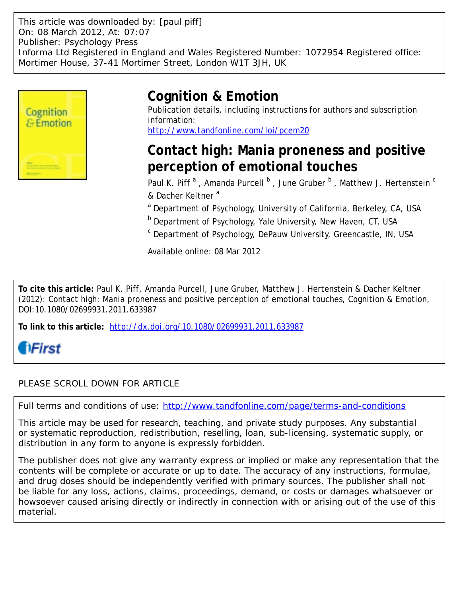This article was downloaded by: [paul piff] On: 08 March 2012, At: 07:07 Publisher: Psychology Press Informa Ltd Registered in England and Wales Registered Number: 1072954 Registered office: Mortimer House, 37-41 Mortimer Street, London W1T 3JH, UK



## **Cognition & Emotion**

Publication details, including instructions for authors and subscription information: <http://www.tandfonline.com/loi/pcem20>

## **Contact high: Mania proneness and positive perception of emotional touches**

Paul K. Piff  $^{\rm a}$  , Amanda Purcell  $^{\rm b}$  , June Gruber  $^{\rm b}$  , Matthew J. Hertenstein  $^{\rm c}$ & Dacher Keltner<sup>a</sup>

<sup>a</sup> Department of Psychology, University of California, Berkeley, CA, USA

<sup>b</sup> Department of Psychology, Yale University, New Haven, CT, USA

<sup>c</sup> Department of Psychology, DePauw University, Greencastle, IN, USA

Available online: 08 Mar 2012

**To cite this article:** Paul K. Piff, Amanda Purcell, June Gruber, Matthew J. Hertenstein & Dacher Keltner (2012): Contact high: Mania proneness and positive perception of emotional touches, Cognition & Emotion, DOI:10.1080/02699931.2011.633987

**To link to this article:** <http://dx.doi.org/10.1080/02699931.2011.633987>

# **fiFirst**

## PLEASE SCROLL DOWN FOR ARTICLE

Full terms and conditions of use:<http://www.tandfonline.com/page/terms-and-conditions>

This article may be used for research, teaching, and private study purposes. Any substantial or systematic reproduction, redistribution, reselling, loan, sub-licensing, systematic supply, or distribution in any form to anyone is expressly forbidden.

The publisher does not give any warranty express or implied or make any representation that the contents will be complete or accurate or up to date. The accuracy of any instructions, formulae, and drug doses should be independently verified with primary sources. The publisher shall not be liable for any loss, actions, claims, proceedings, demand, or costs or damages whatsoever or howsoever caused arising directly or indirectly in connection with or arising out of the use of this material.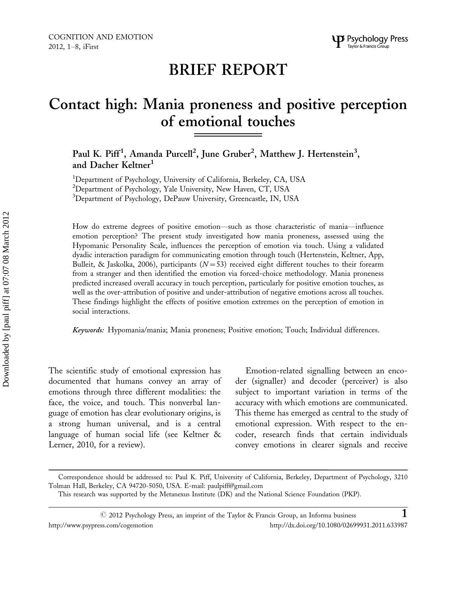## BRIEF REPORT

## Contact high: Mania proneness and positive perception of emotional touches

Paul K. Piff<sup>1</sup>, Amanda Purcell<sup>2</sup>, June Gruber<sup>2</sup>, Matthew J. Hertenstein<sup>3</sup>, and Dacher Keltner<sup>1</sup>

<sup>1</sup>Department of Psychology, University of California, Berkeley, CA, USA

<sup>2</sup>Department of Psychology, Yale University, New Haven, CT, USA

<sup>3</sup>Department of Psychology, DePauw University, Greencastle, IN, USA

How do extreme degrees of positive emotion—such as those characteristic of mania—influence emotion perception? The present study investigated how mania proneness, assessed using the Hypomanic Personality Scale, influences the perception of emotion via touch. Using a validated dyadic interaction paradigm for communicating emotion through touch (Hertenstein, Keltner, App, Bulleit, & Jaskolka, 2006), participants ( $N=53$ ) received eight different touches to their forearm from a stranger and then identified the emotion via forced-choice methodology. Mania proneness predicted increased overall accuracy in touch perception, particularly for positive emotion touches, as well as the over-attribution of positive and under-attribution of negative emotions across all touches. These findings highlight the effects of positive emotion extremes on the perception of emotion in social interactions.

Keywords: Hypomania/mania; Mania proneness; Positive emotion; Touch; Individual differences.

The scientific study of emotional expression has documented that humans convey an array of emotions through three different modalities: the face, the voice, and touch. This nonverbal language of emotion has clear evolutionary origins, is a strong human universal, and is a central language of human social life (see Keltner & Lerner, 2010, for a review).

Emotion-related signalling between an encoder (signaller) and decoder (perceiver) is also subject to important variation in terms of the accuracy with which emotions are communicated. This theme has emerged as central to the study of emotional expression. With respect to the encoder, research finds that certain individuals convey emotions in clearer signals and receive

Correspondence should be addressed to: Paul K. Piff, University of California, Berkeley, Department of Psychology, 3210 Tolman Hall, Berkeley, CA 94720-5050, USA. E-mail: paulpiff@gmail.com

This research was supported by the Metanexus Institute (DK) and the National Science Foundation (PKP).

 $\degree$  2012 Psychology Press, an imprint of the Taylor & Francis Group, an Informa business  $1$ [http://www.psypress.com/cogemotion](http://www.tandfonline.com)<http://dx.doi.org/10.1080/02699931.2011.633987>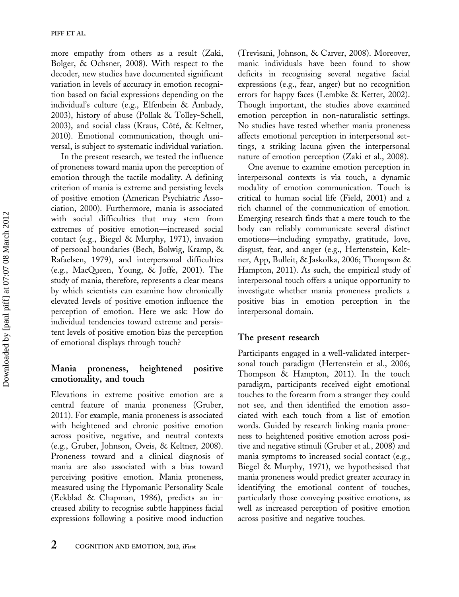more empathy from others as a result (Zaki, Bolger, & Ochsner, 2008). With respect to the decoder, new studies have documented significant variation in levels of accuracy in emotion recognition based on facial expressions depending on the individual's culture (e.g., Elfenbein & Ambady, 2003), history of abuse (Pollak & Tolley-Schell,  $2003$ ), and social class (Kraus, Côté, & Keltner, 2010). Emotional communication, though universal, is subject to systematic individual variation.

In the present research, we tested the influence of proneness toward mania upon the perception of emotion through the tactile modality. A defining criterion of mania is extreme and persisting levels of positive emotion (American Psychiatric Association, 2000). Furthermore, mania is associated with social difficulties that may stem from extremes of positive emotion-increased social contact (e.g., Biegel & Murphy, 1971), invasion of personal boundaries (Bech, Bolwig, Kramp, & Rafaelsen, 1979), and interpersonal difficulties (e.g., MacQueen, Young, & Joffe, 2001). The study of mania, therefore, represents a clear means by which scientists can examine how chronically elevated levels of positive emotion influence the perception of emotion. Here we ask: How do individual tendencies toward extreme and persistent levels of positive emotion bias the perception of emotional displays through touch?

### Mania proneness, heightened positive emotionality, and touch

Elevations in extreme positive emotion are a central feature of mania proneness (Gruber, 2011). For example, mania proneness is associated with heightened and chronic positive emotion across positive, negative, and neutral contexts (e.g., Gruber, Johnson, Oveis, & Keltner, 2008). Proneness toward and a clinical diagnosis of mania are also associated with a bias toward perceiving positive emotion. Mania proneness, measured using the Hypomanic Personality Scale (Eckblad & Chapman, 1986), predicts an increased ability to recognise subtle happiness facial expressions following a positive mood induction

(Trevisani, Johnson, & Carver, 2008). Moreover, manic individuals have been found to show deficits in recognising several negative facial expressions (e.g., fear, anger) but no recognition errors for happy faces (Lembke & Ketter, 2002). Though important, the studies above examined emotion perception in non-naturalistic settings. No studies have tested whether mania proneness affects emotional perception in interpersonal settings, a striking lacuna given the interpersonal nature of emotion perception (Zaki et al., 2008).

One avenue to examine emotion perception in interpersonal contexts is via touch, a dynamic modality of emotion communication. Touch is critical to human social life (Field, 2001) and a rich channel of the communication of emotion. Emerging research finds that a mere touch to the body can reliably communicate several distinct emotions—including sympathy, gratitude, love, disgust, fear, and anger (e.g., Hertenstein, Keltner, App, Bulleit, & Jaskolka, 2006; Thompson & Hampton, 2011). As such, the empirical study of interpersonal touch offers a unique opportunity to investigate whether mania proneness predicts a positive bias in emotion perception in the interpersonal domain.

### The present research

Participants engaged in a well-validated interpersonal touch paradigm (Hertenstein et al., 2006; Thompson & Hampton, 2011). In the touch paradigm, participants received eight emotional touches to the forearm from a stranger they could not see, and then identified the emotion associated with each touch from a list of emotion words. Guided by research linking mania proneness to heightened positive emotion across positive and negative stimuli (Gruber et al., 2008) and mania symptoms to increased social contact (e.g., Biegel & Murphy, 1971), we hypothesised that mania proneness would predict greater accuracy in identifying the emotional content of touches, particularly those conveying positive emotions, as well as increased perception of positive emotion across positive and negative touches.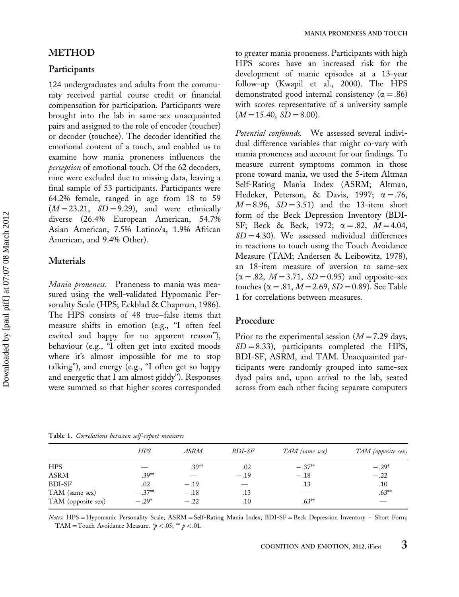#### **METHOD**

#### Participants

124 undergraduates and adults from the community received partial course credit or financial compensation for participation. Participants were brought into the lab in same-sex unacquainted pairs and assigned to the role of encoder (toucher) or decoder (touchee). The decoder identified the emotional content of a touch, and enabled us to examine how mania proneness influences the perception of emotional touch. Of the 62 decoders, nine were excluded due to missing data, leaving a final sample of 53 participants. Participants were 64.2% female, ranged in age from 18 to 59  $(M=23.21, SD=9.29)$ , and were ethnically diverse (26.4% European American, 54.7% Asian American, 7.5% Latino/a, 1.9% African American, and 9.4% Other).

#### Materials

Mania proneness. Proneness to mania was measured using the well-validated Hypomanic Personality Scale (HPS; Eckblad & Chapman, 1986). The HPS consists of 48 true-false items that measure shifts in emotion (e.g., "I often feel excited and happy for no apparent reason''), behaviour (e.g., "I often get into excited moods where it's almost impossible for me to stop talking"), and energy (e.g., "I often get so happy and energetic that I am almost giddy''). Responses were summed so that higher scores corresponded

to greater mania proneness. Participants with high HPS scores have an increased risk for the development of manic episodes at a 13-year follow-up (Kwapil et al., 2000). The HPS demonstrated good internal consistency ( $\alpha = .86$ ) with scores representative of a university sample  $(M = 15.40, SD = 8.00).$ 

Potential confounds. We assessed several individual difference variables that might co-vary with mania proneness and account for our findings. To measure current symptoms common in those prone toward mania, we used the 5-item Altman Self-Rating Mania Index (ASRM; Altman, Hedeker, Peterson, & Davis, 1997;  $\alpha = .76$ ,  $M = 8.96$ ,  $SD = 3.51$  and the 13-item short form of the Beck Depression Inventory (BDI-SF; Beck & Beck, 1972;  $\alpha = .82$ ,  $M = 4.04$ ,  $SD = 4.30$ ). We assessed individual differences in reactions to touch using the Touch Avoidance Measure (TAM; Andersen & Leibowitz, 1978), an 18-item measure of aversion to same-sex  $(\alpha = .82, M = 3.71, SD = 0.95)$  and opposite-sex touches ( $\alpha = .81, M = 2.69, SD = 0.89$ ). See Table 1 for correlations between measures.

#### Procedure

Prior to the experimental session ( $M$  = 7.29 days,  $SD = 8.33$ ), participants completed the HPS, BDI-SF, ASRM, and TAM. Unacquainted participants were randomly grouped into same-sex dyad pairs and, upon arrival to the lab, seated across from each other facing separate computers

Table 1. Correlations between self-report measures

|                    | HPS       | ASRM     | <i>BDI-SF</i> | TAM (same sex) | TAM (opposite sex) |
|--------------------|-----------|----------|---------------|----------------|--------------------|
| HPS                |           | $.39***$ | .02           | $-.37***$      | $-.29*$            |
| ASRM               | $.39***$  |          | $-.19$        | $-.18$         | $-.22$             |
| <b>BDI-SF</b>      | .02       | $-.19$   |               | .13            | .10                |
| TAM (same sex)     | $-.37***$ | $-.18$   | .13           |                | $.63***$           |
| TAM (opposite sex) | $-.29*$   | $-.22$   | .10           | $.63***$       |                    |
|                    |           |          |               |                |                    |

Notes: HPS=Hypomanic Personality Scale; ASRM=Self-Rating Mania Index; BDI-SF=Beck Depression Inventory – Short Form; TAM = Touch Avoidance Measure.  $^*\!p$  < .05; \*\*  $p$  < .01.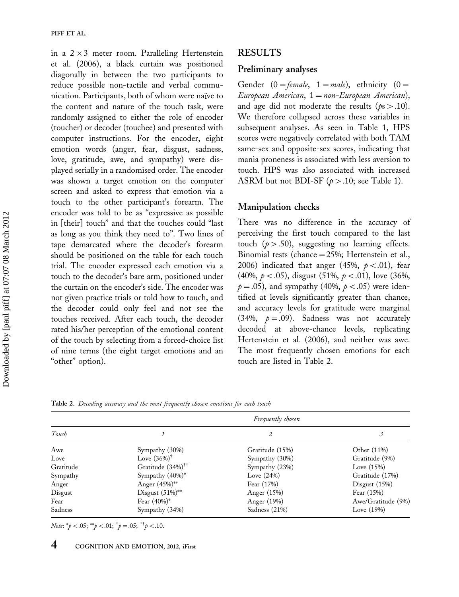in a  $2 \times 3$  meter room. Paralleling Hertenstein et al. (2006), a black curtain was positioned diagonally in between the two participants to reduce possible non-tactile and verbal communication. Participants, both of whom were naïve to the content and nature of the touch task, were randomly assigned to either the role of encoder (toucher) or decoder (touchee) and presented with computer instructions. For the encoder, eight emotion words (anger, fear, disgust, sadness, love, gratitude, awe, and sympathy) were displayed serially in a randomised order. The encoder was shown a target emotion on the computer screen and asked to express that emotion via a touch to the other participant's forearm. The encoder was told to be as ''expressive as possible in [their] touch'' and that the touches could ''last as long as you think they need to''. Two lines of tape demarcated where the decoder's forearm should be positioned on the table for each touch trial. The encoder expressed each emotion via a touch to the decoder's bare arm, positioned under the curtain on the encoder's side. The encoder was not given practice trials or told how to touch, and the decoder could only feel and not see the touches received. After each touch, the decoder rated his/her perception of the emotional content of the touch by selecting from a forced-choice list of nine terms (the eight target emotions and an "other" option).

#### RESULTS

#### Preliminary analyses

Gender  $(0 = female, 1 = male),$  ethnicity  $(0 =$ European American, 1 = non-European American), and age did not moderate the results ( $p$ s $>$ .10). We therefore collapsed across these variables in subsequent analyses. As seen in Table 1, HPS scores were negatively correlated with both TAM same-sex and opposite-sex scores, indicating that mania proneness is associated with less aversion to touch. HPS was also associated with increased ASRM but not BDI-SF ( $\rho$  > .10; see Table 1).

#### Manipulation checks

There was no difference in the accuracy of perceiving the first touch compared to the last touch ( $p > .50$ ), suggesting no learning effects. Binomial tests (chance-25%; Hertenstein et al., 2006) indicated that anger (45%,  $p < .01$ ), fear (40%,  $p < .05$ ), disgust (51%,  $p < .01$ ), love (36%,  $p = .05$ ), and sympathy (40%,  $p < .05$ ) were identified at levels significantly greater than chance, and accuracy levels for gratitude were marginal (34%,  $p = .09$ ). Sadness was not accurately decoded at above-chance levels, replicating Hertenstein et al. (2006), and neither was awe. The most frequently chosen emotions for each touch are listed in Table 2.

Table 2. Decoding accuracy and the most frequently chosen emotions for each touch

|           |                               | Frequently chosen |                    |
|-----------|-------------------------------|-------------------|--------------------|
| Touch     |                               | 2                 | 3                  |
| Awe       | Sympathy (30%)                | Gratitude (15%)   | Other (11%)        |
| Love      | Love $(36%)^{\dagger}$        | Sympathy (30%)    | Gratitude (9%)     |
| Gratitude | Gratitude (34%) <sup>††</sup> | Sympathy (23%)    | Love $(15%)$       |
| Sympathy  | Sympathy $(40%)^*$            | Love $(24%)$      | Gratitude (17%)    |
| Anger     | Anger $(45%)$ **              | Fear (17%)        | Disgust(15%)       |
| Disgust   | Disgust $(51\%)^*$            | Anger (15%)       | Fear (15%)         |
| Fear      | Fear $(40%)^*$                | Anger (19%)       | Awe/Gratitude (9%) |
| Sadness   | Sympathy (34%)                | Sadness (21%)     | Love $(19%)$       |

*Note*:  $^*p < .05$ ;  $^{**}p < .01$ ;  $^{\dagger}p = .05$ ;  $^{\dagger\dagger}p < .10$ .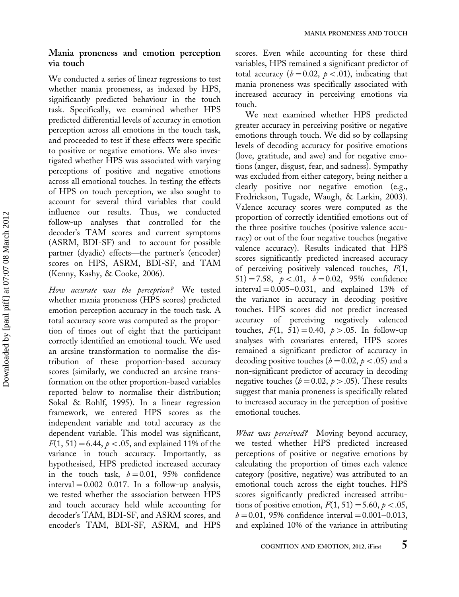#### Mania proneness and emotion perception via touch

We conducted a series of linear regressions to test whether mania proneness, as indexed by HPS, significantly predicted behaviour in the touch task. Specifically, we examined whether HPS predicted differential levels of accuracy in emotion perception across all emotions in the touch task, and proceeded to test if these effects were specific to positive or negative emotions. We also investigated whether HPS was associated with varying perceptions of positive and negative emotions across all emotional touches. In testing the effects of HPS on touch perception, we also sought to account for several third variables that could influence our results. Thus, we conducted follow-up analyses that controlled for the decoder's TAM scores and current symptoms (ASRM, BDI-SF) and-to account for possible partner (dyadic) effects—the partner's (encoder) scores on HPS, ASRM, BDI-SF, and TAM (Kenny, Kashy, & Cooke, 2006).

How accurate was the perception? We tested whether mania proneness (HPS scores) predicted emotion perception accuracy in the touch task. A total accuracy score was computed as the proportion of times out of eight that the participant correctly identified an emotional touch. We used an arcsine transformation to normalise the distribution of these proportion-based accuracy scores (similarly, we conducted an arcsine transformation on the other proportion-based variables reported below to normalise their distribution; Sokal & Rohlf, 1995). In a linear regression framework, we entered HPS scores as the independent variable and total accuracy as the dependent variable. This model was significant,  $F(1, 51)$  = 6.44,  $p < .05$ , and explained 11% of the variance in touch accuracy. Importantly, as hypothesised, HPS predicted increased accuracy in the touch task,  $b = 0.01$ , 95% confidence interval  $= 0.002 - 0.017$ . In a follow-up analysis, we tested whether the association between HPS and touch accuracy held while accounting for decoder's TAM, BDI-SF, and ASRM scores, and encoder's TAM, BDI-SF, ASRM, and HPS

scores. Even while accounting for these third variables, HPS remained a significant predictor of total accuracy ( $b$  = 0.02,  $p$  < .01), indicating that mania proneness was specifically associated with increased accuracy in perceiving emotions via touch.

We next examined whether HPS predicted greater accuracy in perceiving positive or negative emotions through touch. We did so by collapsing levels of decoding accuracy for positive emotions (love, gratitude, and awe) and for negative emotions (anger, disgust, fear, and sadness). Sympathy was excluded from either category, being neither a clearly positive nor negative emotion (e.g., Fredrickson, Tugade, Waugh, & Larkin, 2003). Valence accuracy scores were computed as the proportion of correctly identified emotions out of the three positive touches (positive valence accuracy) or out of the four negative touches (negative valence accuracy). Results indicated that HPS scores significantly predicted increased accuracy of perceiving positively valenced touches,  $F(1,$  $(51) = 7.58, \, p < 0.01, \, b = 0.02, \, 95\%$  confidence  $interval = 0.005 - 0.031$ , and explained 13% of the variance in accuracy in decoding positive touches. HPS scores did not predict increased accuracy of perceiving negatively valenced touches,  $F(1, 51) = 0.40, p > 0.05$ . In follow-up analyses with covariates entered, HPS scores remained a significant predictor of accuracy in decoding positive touches ( $b$  = 0.02,  $p$  < .05) and a non-significant predictor of accuracy in decoding negative touches ( $b$  = 0.02,  $p$  > .05). These results suggest that mania proneness is specifically related to increased accuracy in the perception of positive emotional touches.

What was perceived? Moving beyond accuracy, we tested whether HPS predicted increased perceptions of positive or negative emotions by calculating the proportion of times each valence category (positive, negative) was attributed to an emotional touch across the eight touches. HPS scores significantly predicted increased attributions of positive emotion,  $F(1, 51) = 5.60, p < 0.05$ ,  $b = 0.01, 95\%$  confidence interval  $= 0.001 - 0.013$ , and explained 10% of the variance in attributing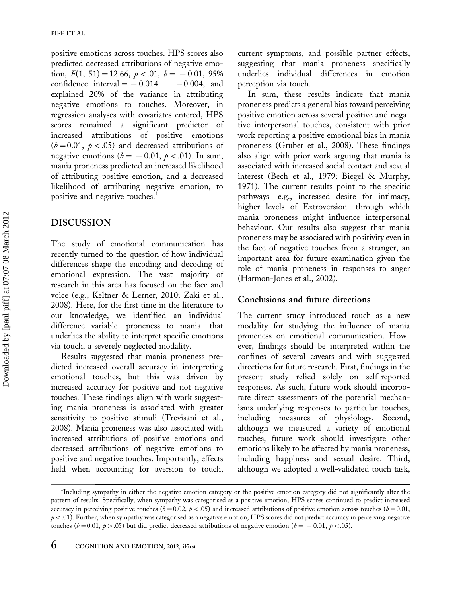positive emotions across touches. HPS scores also predicted decreased attributions of negative emotion,  $F(1, 51) = 12.66, p < 0.01, b = -0.01, 95\%$ confidence interval  $=$   $-0.014$   $-0.004$ , and explained 20% of the variance in attributing negative emotions to touches. Moreover, in regression analyses with covariates entered, HPS scores remained a significant predictor of increased attributions of positive emotions  $(b=0.01, p<0.05)$  and decreased attributions of negative emotions ( $b = -0.01$ ,  $p < .01$ ). In sum, mania proneness predicted an increased likelihood of attributing positive emotion, and a decreased likelihood of attributing negative emotion, to positive and negative touches.<sup>1</sup>

### DISCUSSION

The study of emotional communication has recently turned to the question of how individual differences shape the encoding and decoding of emotional expression. The vast majority of research in this area has focused on the face and voice (e.g., Keltner & Lerner, 2010; Zaki et al., 2008). Here, for the first time in the literature to our knowledge, we identified an individual difference variable-proneness to mania-that underlies the ability to interpret specific emotions via touch, a severely neglected modality.

Results suggested that mania proneness predicted increased overall accuracy in interpreting emotional touches, but this was driven by increased accuracy for positive and not negative touches. These findings align with work suggesting mania proneness is associated with greater sensitivity to positive stimuli (Trevisani et al., 2008). Mania proneness was also associated with increased attributions of positive emotions and decreased attributions of negative emotions to positive and negative touches. Importantly, effects held when accounting for aversion to touch,

current symptoms, and possible partner effects, suggesting that mania proneness specifically underlies individual differences in emotion perception via touch.

In sum, these results indicate that mania proneness predicts a general bias toward perceiving positive emotion across several positive and negative interpersonal touches, consistent with prior work reporting a positive emotional bias in mania proneness (Gruber et al., 2008). These findings also align with prior work arguing that mania is associated with increased social contact and sexual interest (Bech et al., 1979; Biegel & Murphy, 1971). The current results point to the specific pathways—e.g., increased desire for intimacy, higher levels of Extroversion—through which mania proneness might influence interpersonal behaviour. Our results also suggest that mania proneness may be associated with positivity even in the face of negative touches from a stranger, an important area for future examination given the role of mania proneness in responses to anger (Harmon-Jones et al., 2002).

#### Conclusions and future directions

The current study introduced touch as a new modality for studying the influence of mania proneness on emotional communication. However, findings should be interpreted within the confines of several caveats and with suggested directions for future research. First, findings in the present study relied solely on self-reported responses. As such, future work should incorporate direct assessments of the potential mechanisms underlying responses to particular touches, including measures of physiology. Second, although we measured a variety of emotional touches, future work should investigate other emotions likely to be affected by mania proneness, including happiness and sexual desire. Third, although we adopted a well-validated touch task,

<sup>&</sup>lt;sup>1</sup>Including sympathy in either the negative emotion category or the positive emotion category did not significantly alter the pattern of results. Specifically, when sympathy was categorised as a positive emotion, HPS scores continued to predict increased accuracy in perceiving positive touches ( $b = 0.02$ ,  $p < 0.05$ ) and increased attributions of positive emotion across touches ( $b = 0.01$ ,  $p < .01$ ). Further, when sympathy was categorised as a negative emotion, HPS scores did not predict accuracy in perceiving negative touches ( $b = 0.01$ ,  $p > .05$ ) but did predict decreased attributions of negative emotion ( $b = -0.01$ ,  $p < .05$ ).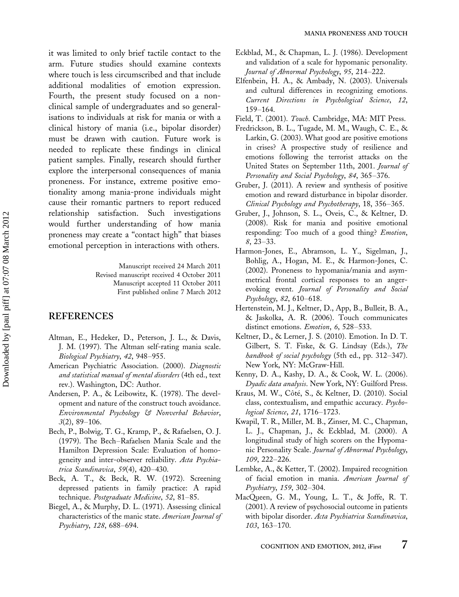it was limited to only brief tactile contact to the arm. Future studies should examine contexts where touch is less circumscribed and that include additional modalities of emotion expression. Fourth, the present study focused on a nonclinical sample of undergraduates and so generalisations to individuals at risk for mania or with a clinical history of mania (i.e., bipolar disorder) must be drawn with caution. Future work is needed to replicate these findings in clinical patient samples. Finally, research should further explore the interpersonal consequences of mania proneness. For instance, extreme positive emotionality among mania-prone individuals might cause their romantic partners to report reduced relationship satisfaction. Such investigations would further understanding of how mania proneness may create a ''contact high'' that biases emotional perception in interactions with others.

Manuscript received 24 March 2011

- Revised manuscript received 4 October 2011
	- Manuscript accepted 11 October 2011
	- First published online 7 March 2012

### REFERENCES

- Altman, E., Hedeker, D., Peterson, J. L., & Davis, J. M. (1997). The Altman self-rating mania scale. Biological Psychiatry, 42, 948-955.
- American Psychiatric Association. (2000). Diagnostic and statistical manual of mental disorders (4th ed., text rev.). Washington, DC: Author.
- Andersen, P. A., & Leibowitz, K. (1978). The development and nature of the construct touch avoidance. Environmental Psychology & Nonverbal Behavior,  $3(2)$ , 89-106.
- Bech, P., Bolwig, T. G., Kramp, P., & Rafaelsen, O. J. (1979). The Bech-Rafaelsen Mania Scale and the Hamilton Depression Scale: Evaluation of homogeneity and inter-observer reliability. Acta Psychiatrica Scandinavica,  $59(4)$ ,  $420-430$ .
- Beck, A. T., & Beck, R. W. (1972). Screening depressed patients in family practice: A rapid technique. Postgraduate Medicine, 52, 81-85.
- Biegel, A., & Murphy, D. L. (1971). Assessing clinical characteristics of the manic state. American Journal of Psychiatry, 128, 688-694.
- Eckblad, M., & Chapman, L. J. (1986). Development and validation of a scale for hypomanic personality. Journal of Abnormal Psychology, 95, 214-222.
- Elfenbein, H. A., & Ambady, N. (2003). Universals and cultural differences in recognizing emotions. Current Directions in Psychological Science, 12, 159-164.
- Field, T. (2001). Touch. Cambridge, MA: MIT Press.
- Fredrickson, B. L., Tugade, M. M., Waugh, C. E., & Larkin, G. (2003). What good are positive emotions in crises? A prospective study of resilience and emotions following the terrorist attacks on the United States on September 11th, 2001. Journal of Personality and Social Psychology, 84, 365-376.
- Gruber, J. (2011). A review and synthesis of positive emotion and reward disturbance in bipolar disorder. Clinical Psychology and Psychotherapy, 18, 356–365.
- Gruber, J., Johnson, S. L., Oveis, C., & Keltner, D. (2008). Risk for mania and positive emotional responding: Too much of a good thing? *Emotion*,  $8, 23 - 33.$
- Harmon-Jones, E., Abramson, L. Y., Sigelman, J., Bohlig, A., Hogan, M. E., & Harmon-Jones, C. (2002). Proneness to hypomania/mania and asymmetrical frontal cortical responses to an angerevoking event. Journal of Personality and Social  $P$ sychology, 82, 610–618.
- Hertenstein, M. J., Keltner, D., App, B., Bulleit, B. A., & Jaskolka, A. R. (2006). Touch communicates distinct emotions. Emotion, 6, 528-533.
- Keltner, D., & Lerner, J. S. (2010). Emotion. In D. T. Gilbert, S. T. Fiske, & G. Lindsay (Eds.), The handbook of social psychology (5th ed., pp. 312–347). New York, NY: McGraw-Hill.
- Kenny, D. A., Kashy, D. A., & Cook, W. L. (2006). Dyadic data analysis. New York, NY: Guilford Press.
- Kraus, M. W., Côté, S., & Keltner, D. (2010). Social class, contextualism, and empathic accuracy. Psychological Science, 21, 1716-1723.
- Kwapil, T. R., Miller, M. B., Zinser, M. C., Chapman, L. J., Chapman, J., & Eckblad, M. (2000). A longitudinal study of high scorers on the Hypomanic Personality Scale. Journal of Abnormal Psychology,  $109, 222 - 226.$
- Lembke, A., & Ketter, T. (2002). Impaired recognition of facial emotion in mania. American Journal of Psychiatry, 159, 302–304.
- MacQueen, G. M., Young, L. T., & Joffe, R. T. (2001). A review of psychosocial outcome in patients with bipolar disorder. Acta Psychiatrica Scandinavica, 103, 163-170.